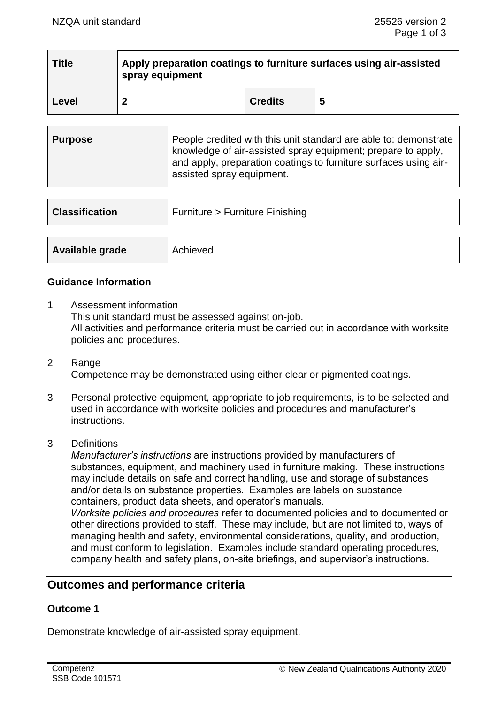| <b>Title</b> | Apply preparation coatings to furniture surfaces using air-assisted<br>spray equipment |                |   |
|--------------|----------------------------------------------------------------------------------------|----------------|---|
| Level        |                                                                                        | <b>Credits</b> | 5 |

| Purpose | People credited with this unit standard are able to: demonstrate<br>  knowledge of air-assisted spray equipment; prepare to apply,<br>and apply, preparation coatings to furniture surfaces using air- |
|---------|--------------------------------------------------------------------------------------------------------------------------------------------------------------------------------------------------------|
|         | assisted spray equipment.                                                                                                                                                                              |

| <b>Classification</b> | Furniture > Furniture Finishing |  |
|-----------------------|---------------------------------|--|
|                       |                                 |  |
| Available grade       | Achieved                        |  |

# **Guidance Information**

- 1 Assessment information This unit standard must be assessed against on-job. All activities and performance criteria must be carried out in accordance with worksite policies and procedures.
- 2 Range Competence may be demonstrated using either clear or pigmented coatings.
- 3 Personal protective equipment, appropriate to job requirements, is to be selected and used in accordance with worksite policies and procedures and manufacturer's instructions.
- 3 Definitions

*Manufacturer's instructions* are instructions provided by manufacturers of substances, equipment, and machinery used in furniture making. These instructions may include details on safe and correct handling, use and storage of substances and/or details on substance properties. Examples are labels on substance containers, product data sheets, and operator's manuals.

*Worksite policies and procedures* refer to documented policies and to documented or other directions provided to staff. These may include, but are not limited to, ways of managing health and safety, environmental considerations, quality, and production, and must conform to legislation. Examples include standard operating procedures, company health and safety plans, on-site briefings, and supervisor's instructions.

# **Outcomes and performance criteria**

## **Outcome 1**

Demonstrate knowledge of air-assisted spray equipment.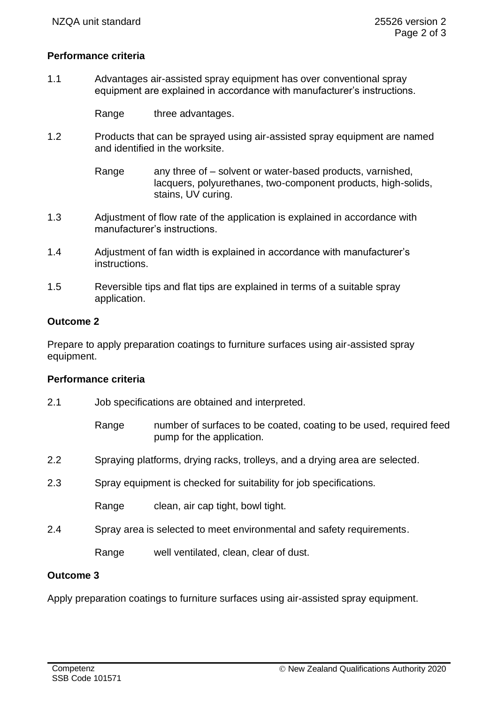## **Performance criteria**

1.1 Advantages air-assisted spray equipment has over conventional spray equipment are explained in accordance with manufacturer's instructions.

Range three advantages.

- 1.2 Products that can be sprayed using air-assisted spray equipment are named and identified in the worksite.
	- Range any three of  $-$  solvent or water-based products, varnished, lacquers, polyurethanes, two-component products, high-solids, stains, UV curing.
- 1.3 Adjustment of flow rate of the application is explained in accordance with manufacturer's instructions.
- 1.4 Adjustment of fan width is explained in accordance with manufacturer's instructions.
- 1.5 Reversible tips and flat tips are explained in terms of a suitable spray application.

## **Outcome 2**

Prepare to apply preparation coatings to furniture surfaces using air-assisted spray equipment.

#### **Performance criteria**

- 2.1 Job specifications are obtained and interpreted.
	- Range mumber of surfaces to be coated, coating to be used, required feed pump for the application.
- 2.2 Spraying platforms, drying racks, trolleys, and a drying area are selected.
- 2.3 Spray equipment is checked for suitability for job specifications.

Range clean, air cap tight, bowl tight.

2.4 Spray area is selected to meet environmental and safety requirements.

Range well ventilated, clean, clear of dust.

## **Outcome 3**

Apply preparation coatings to furniture surfaces using air-assisted spray equipment.